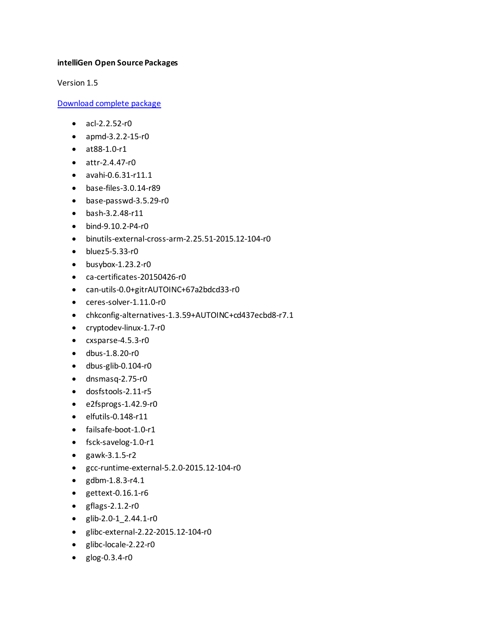## **intelliGen Open Source Packages**

Version 1.5

[Download complete package](https://lennoxunix-my.sharepoint.com/personal/andy_lin_heatcraftrpd_com/Documents/Documents/Refrigeration%20Controls/IntelliGen/Open%20Source%20Packages/intelliGen%20Open%20Source%20Packages.docx)

- $\bullet$  acl-2.2.52-r0
- apmd-3.2.2-15-r0
- at88-1.0-r1
- attr-2.4.47-r0
- avahi-0.6.31-r11.1
- base-files-3.0.14-r89
- base-passwd-3.5.29-r0
- bash-3.2.48-r11
- bind-9.10.2-P4-r0
- binutils-external-cross-arm-2.25.51-2015.12-104-r0
- bluez5-5.33-r0
- $\bullet$  busybox-1.23.2-r0
- ca-certificates-20150426-r0
- can-utils-0.0+gitrAUTOINC+67a2bdcd33-r0
- ceres-solver-1.11.0-r0
- chkconfig-alternatives-1.3.59+AUTOINC+cd437ecbd8-r7.1
- cryptodev-linux-1.7-r0
- cxsparse-4.5.3-r0
- dbus-1.8.20-r0
- dbus-glib-0.104-r0
- dnsmasq-2.75-r0
- dosfstools-2.11-r5
- e2fsprogs-1.42.9-r0
- elfutils-0.148-r11
- failsafe-boot-1.0-r1
- fsck-savelog-1.0-r1
- gawk-3.1.5-r2
- gcc-runtime-external-5.2.0-2015.12-104-r0
- gdbm-1.8.3-r4.1
- gettext-0.16.1-r6
- gflags-2.1.2-r0
- glib-2.0-1\_2.44.1-r0
- glibc-external-2.22-2015.12-104-r0
- glibc-locale-2.22-r0
- glog-0.3.4-r0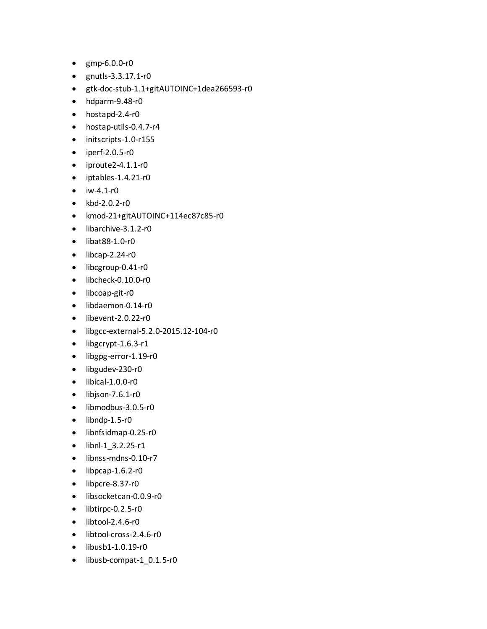- gmp-6.0.0-r0
- gnutls-3.3.17.1-r0
- gtk-doc-stub-1.1+gitAUTOINC+1dea266593-r0
- hdparm-9.48-r0
- hostapd-2.4-r0
- hostap-utils-0.4.7-r4
- initscripts-1.0-r155
- iperf-2.0.5-r0
- iproute2-4.1.1-r0
- iptables-1.4.21-r0
- $\bullet$  iw-4.1-r0
- kbd-2.0.2-r0
- kmod-21+gitAUTOINC+114ec87c85-r0
- libarchive-3.1.2-r0
- libat88-1.0-r0
- $\bullet$  libcap-2.24-r0
- libcgroup-0.41-r0
- libcheck-0.10.0-r0
- libcoap-git-r0
- libdaemon-0.14-r0
- libevent-2.0.22-r0
- libgcc-external-5.2.0-2015.12-104-r0
- libgcrypt-1.6.3-r1
- libgpg-error-1.19-r0
- libgudev-230-r0
- libical-1.0.0-r0
- $\bullet$  libison-7.6.1-r0
- libmodbus-3.0.5-r0
- $\bullet$  libndp-1.5-r0
- libnfsidmap-0.25-r0
- libnl-1\_3.2.25-r1
- libnss-mdns-0.10-r7
- $\bullet$  libpcap-1.6.2-r0
- libpcre-8.37-r0
- libsocketcan-0.0.9-r0
- libtirpc-0.2.5-r0
- libtool-2.4.6-r0
- libtool-cross-2.4.6-r0
- libusb1-1.0.19-r0
- libusb-compat-1\_0.1.5-r0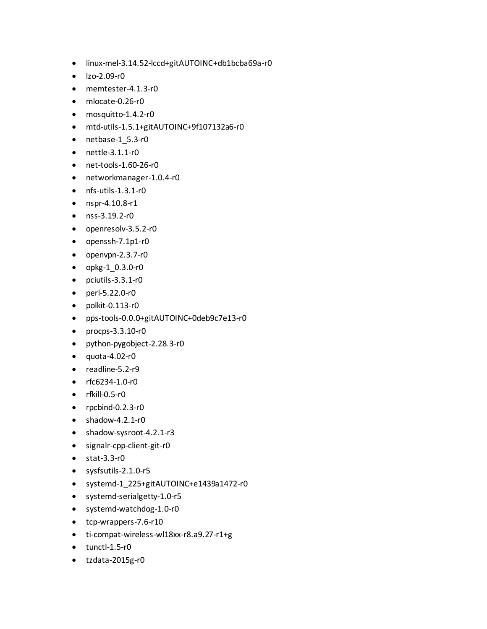- linux-mel-3.14.52-lccd+gitAUTOINC+db1bcba69a-r0
- lzo-2.09-r0
- memtester-4.1.3-r0
- mlocate-0.26-r0
- mosquitto-1.4.2-r0
- mtd-utils-1.5.1+gitAUTOINC+9f107132a6-r0
- netbase-1\_5.3-r0
- nettle-3.1.1-r0
- net-tools-1.60-26-r0
- networkmanager-1.0.4-r0
- nfs-utils-1.3.1-r0
- nspr-4.10.8-r1
- nss-3.19.2-r0
- openresolv-3.5.2-r0
- openssh-7.1p1-r0
- openvpn-2.3.7-r0
- opkg-1\_0.3.0-r0
- pciutils-3.3.1-r0
- perl-5.22.0-r0
- polkit-0.113-r0
- pps-tools-0.0.0+gitAUTOINC+0deb9c7e13-r0
- procps-3.3.10-r0
- python-pygobject-2.28.3-r0
- $\bullet$  quota-4.02-r0
- readline-5.2-r9
- rfc6234-1.0-r0
- rfkill-0.5-r0
- rpcbind-0.2.3-r0
- shadow-4.2.1-r0
- shadow-sysroot-4.2.1-r3
- signalr-cpp-client-git-r0
- stat-3.3-r0
- sysfsutils-2.1.0-r5
- systemd-1\_225+gitAUTOINC+e1439a1472-r0
- systemd-serialgetty-1.0-r5
- systemd-watchdog-1.0-r0
- tcp-wrappers-7.6-r10
- ti-compat-wireless-wl18xx-r8.a9.27-r1+g
- tunctl-1.5-r0
- tzdata-2015g-r0